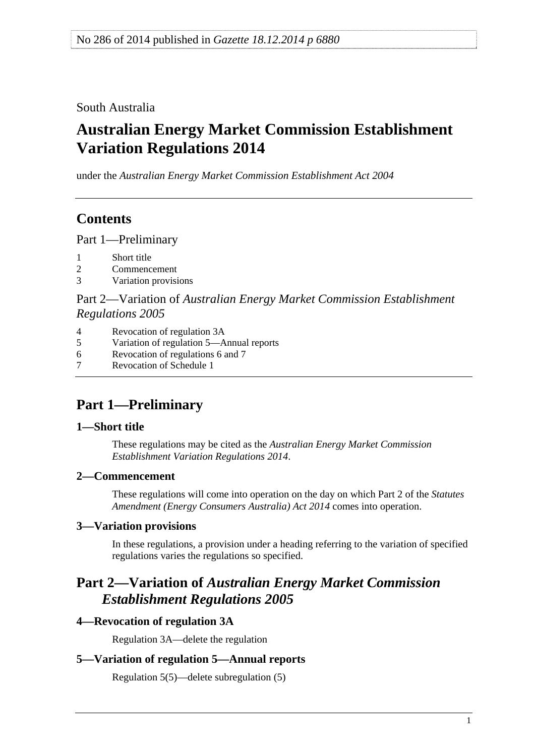<span id="page-0-0"></span>South Australia

# **Australian Energy Market Commission Establishment Variation Regulations 2014**

under the *Australian Energy Market Commission Establishment Act 2004*

## **Contents**

[Part 1—Preliminary](#page-0-0)

- [1 Short title](#page-0-0)
- [2 Commencement](#page-0-0)
- [3 Variation provisions](#page-0-0)

Part 2—Variation of *[Australian Energy Market Commission Establishment](#page-0-0)  [Regulations 2005](#page-0-0)*

- [4 Revocation of regulation 3A](#page-0-0)
- [5 Variation of regulation 5—Annual reports](#page-0-0)
- [6 Revocation of regulations 6 and 7](#page-1-0)
- [7 Revocation of Schedule 1](#page-1-0)

# **Part 1—Preliminary**

### **1—Short title**

These regulations may be cited as the *Australian Energy Market Commission Establishment Variation Regulations 2014*.

### **2—Commencement**

These regulations will come into operation on the day on which Part 2 of the *[Statutes](http://www.legislation.sa.gov.au/index.aspx?action=legref&type=act&legtitle=Statutes%20Amendment%20(Energy%20Consumers%20Australia)%20Act%202014)  [Amendment \(Energy Consumers Australia\) Act 2014](http://www.legislation.sa.gov.au/index.aspx?action=legref&type=act&legtitle=Statutes%20Amendment%20(Energy%20Consumers%20Australia)%20Act%202014)* comes into operation.

### **3—Variation provisions**

In these regulations, a provision under a heading referring to the variation of specified regulations varies the regulations so specified.

### **Part 2—Variation of** *Australian Energy Market Commission Establishment Regulations 2005*

### **4—Revocation of regulation 3A**

Regulation 3A—delete the regulation

### **5—Variation of regulation 5—Annual reports**

Regulation 5(5)—delete subregulation (5)